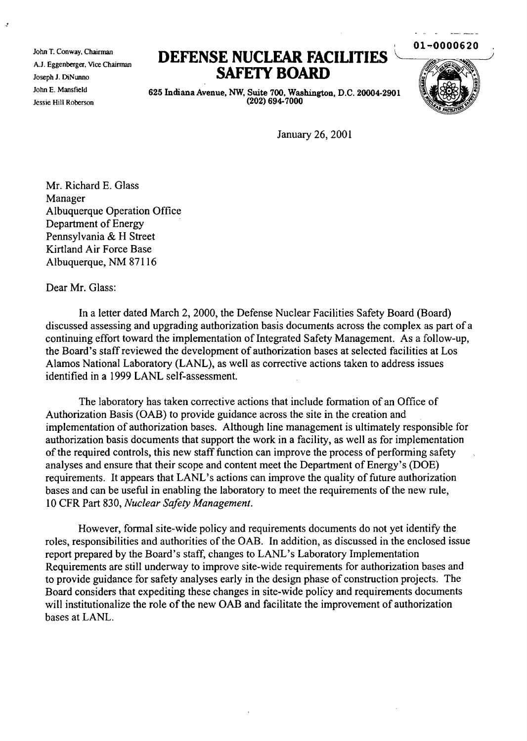John T. Conway. Chairman A.J. Eggenberger. Vice Chairman Joseph J. DiNwmo John E. Mansfield Jessie Hill Roberson

## **DEFENSE NUCLEAR FACIUTIES** \.~-/h **SAFETY BOARD**



 $01 - 0000620$ 

625 Indiana Avenue, NW, Suite 700, Washington, D.C. 20004-2901 (202) 694-7000

January 26,2001

Mr. Richard E. Glass Manager Albuquerque Operation Office Department of Energy Pennsylvania & H Street Kirtland Air Force Base Albuquerque, NM 87116

## Dear Mr. Glass:

In a letter dated March 2, 2000, the Defense Nuclear Facilities Safety Board (Board) discussed assessing and upgrading authorization basis documents across the complex as part of a continuing effort toward the implementation of Integrated Safety Management. As a follow-up, the Board's staffreviewed the development of authorization bases at selected facilities at Los Alamos National Laboratory (LANL), as well as corrective actions taken to address issues identified in a 1999 LANL self-assessment.

The laboratory has taken corrective actions that include formation of an Office of Authorization Basis (OAB) to provide guidance across the site in the creation and implementation of authorization bases. Although line management is ultimately responsible for authorization basis documents that support the work in a facility, as well as for implementation of the required controls, this new staff function can improve the process of performing safety analyses and ensure that their scope and content meet the Department of Energy's (DOE) requirements. It appears that LANL's actions can improve the quality of future authorization bases and can be useful in enabling the laboratory to meet the requirements of the new rule, 10 CFR Part 830, *Nuclear Safety Management.*

However, formal site-wide policy and requirements documents do not yet identify the roles, responsibilities and authorities of the OAB. In addition, as discussed in the enclosed issue report prepared by the Board's staff, changes to LANL's Laboratory Implementation Requirements are still underway to improve site-wide requirements for authorization bases and to provide guidance for safety analyses early in the design phase of construction projects. The Board considers that expediting these changes in site-wide policy and requirements documents will institutionalize the role of the new OAB and facilitate the improvement of authorization bases at LANL.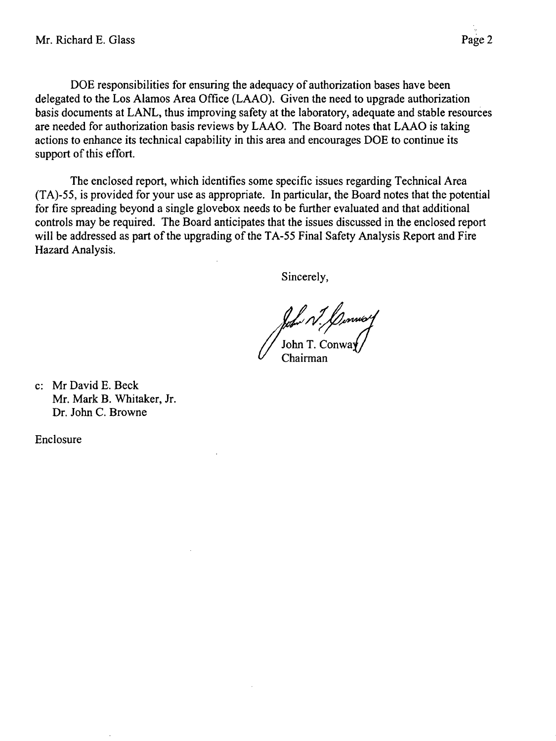DOE responsibilities for ensuring the adequacy of authorization bases have been delegated to the Los Alamos Area Office (LAAO). Given the need to upgrade authorization basis documents at LANL, thus improving safety at the laboratory, adequate and stable resources are needed for authorization basis reviews by LAAO. The Board notes that LAAO is taking actions to enhance its technical capability in this area and encourages DOE to continue its support of this effort.

The enclosed report, which identifies some specific issues regarding Technical Area (TA)-55, is provided for your use as appropriate. In particular, the Board notes that the potential for fire spreading beyond a single glovebox needs to be further evaluated and that additional controls may be required. The Board anticipates that the issues discussed in the enclosed report will be addressed as part of the upgrading of the TA-55 Final Safety Analysis Report and Fire Hazard Analysis.

Sincerely,

John N. Llumwo<br>John T. Conway

c: Mr David E. Beck Mr. Mark B. Whitaker, Jr. Dr. John C. Browne

Enclosure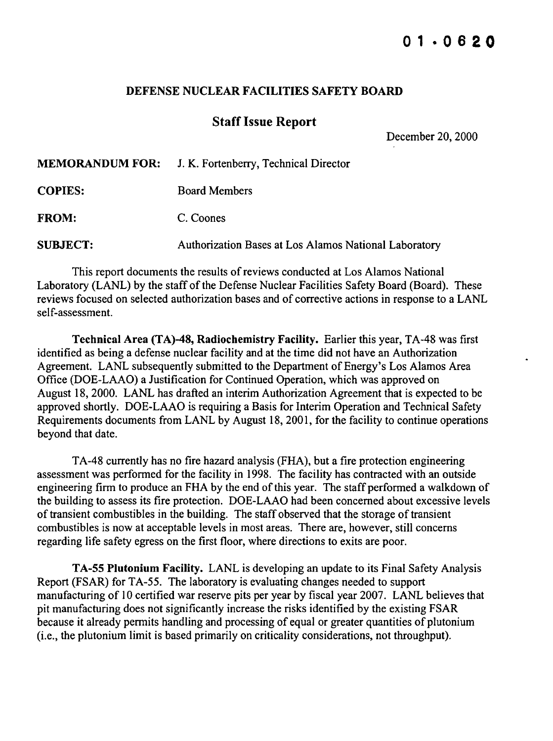## DEFENSE NUCLEAR FACILITIES SAFETY BOARD

## **Staff Issue Report**

December 20, 2000

|                 | <b>MEMORANDUM FOR:</b> J. K. Fortenberry, Technical Director |
|-----------------|--------------------------------------------------------------|
| <b>COPIES:</b>  | <b>Board Members</b>                                         |
| <b>FROM:</b>    | C. Coones                                                    |
| <b>SUBJECT:</b> | Authorization Bases at Los Alamos National Laboratory        |

This report documents the results ofreviews conducted at Los Alamos National Laboratory (LANL) by the staff of the Defense Nuclear Facilities Safety Board (Board). These reviews focused on selected authorization bases and of corrective actions in response to a LANL self-assessment.

Technical Area (TA)-48, Radiochemistry Facility. Earlier this year, TA-48 was first identified as being a defense nuclear facility and at the time did not have an Authorization Agreement. LANL subsequently submitted to the Department of Energy's Los Alamos Area Office (DOE-LAAO) a Justification for Continued Operation, which was approved on August 18, 2000. LANL has drafted an interim Authorization Agreement that is expected to be approved shortly. DOE-LAAO is requiring a Basis for Interim Operation and Technical Safety Requirements documents from LANL by August 18, 2001, for the facility to continue operations beyond that date.

TA-48 currently has no fire hazard analysis (FHA), but a fire protection engineering assessment was performed for the facility in 1998. The facility has contracted with an outside engineering firm to produce an FHA by the end of this year. The staff performed a walkdown of the building to assess its fire protection. DOE-LAAO had been concerned about excessive levels of transient combustibles in the building. The staff observed that the storage of transient combustibles is now at acceptable levels in most areas. There are, however, still concerns regarding life safety egress on the first floor, where directions to exits are poor.

TA-55 Plutonium Facility. LANL is developing an update to its Final Safety Analysis Report (FSAR) for TA-55. The laboratory is evaluating changes needed to support manufacturing of 10 certified war reserve pits per year by fiscal year 2007. LANL believes that pit manufacturing does not significantly increase the risks identified by the existing FSAR because it already permits handling and processing of equal or greater quantities of plutonium (i.e., the plutonium limit is based primarily on criticality considerations, not throughput).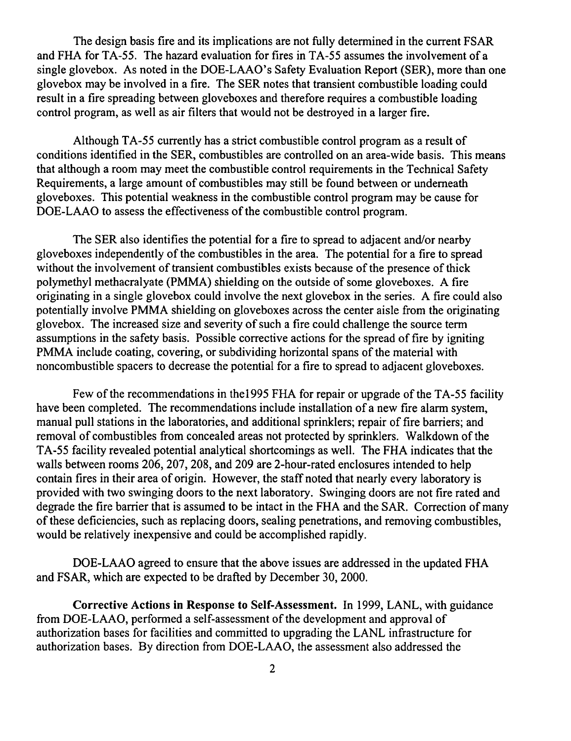The design basis fire and its implications are not fully determined in the current FSAR and FHA for TA-55. The hazard evaluation for fires in TA-55 assumes the involvement of a single glovebox. As noted in the DOE-LAAO's Safety Evaluation Report (SER), more than one glovebox may be involved in a fire. The SER notes that transient combustible loading could result in a fire spreading between gloveboxes and therefore requires a combustible loading control program, as well as air filters that would not be destroyed in a larger fire.

Although TA-55 currently has a strict combustible control program as a result of conditions identified in the SER, combustibles are controlled on an area-wide basis. This means that although a room may meet the combustible control requirements in the Technical Safety Requirements, a large amount of combustibles may still be found between or underneath gloveboxes. This potential weakness in the combustible control program may be cause for DOE-LAAO to assess the effectiveness of the combustible control program.

The SER also identifies the potential for a fire to spread to adjacent and/or nearby gloveboxes independently of the combustibles in the area. The potential for a fire to spread without the involvement of transient combustibles exists because of the presence of thick polymethyl methacralyate (PMMA) shielding on the outside of some gloveboxes. A fire originating in a single glovebox could involve the next glovebox in the series. A fire could also potentially involve PMMA shielding on gloveboxes across the center aisle from the originating glovebox. The increased size and severity of such a fire could challenge the source term assumptions in the safety basis. Possible corrective actions for the spread of fire by igniting PMMA include coating, covering, or subdividing horizontal spans of the material with noncombustible spacers to decrease the potential for a fire to spread to adjacent gloveboxes.

Few of the recommendations in the 1995 FHA for repair or upgrade of the TA-55 facility have been completed. The recommendations include installation of a new fire alarm system, manual pull stations in the laboratories, and additional sprinklers; repair of fire barriers; and removal of combustibles from concealed areas not protected by sprinklers. Walkdown of the TA-55 facility revealed potential analytical shortcomings as well. The FHA indicates that the walls between rooms 206, 207, 208, and 209 are 2-hour-rated enclosures intended to help contain fires in their area of origin. However, the staff noted that nearly every laboratory is provided with two swinging doors to the next laboratory. Swinging doors are not fire rated and degrade the fire barrier that is assumed to be intact in the FHA and the SAR. Correction of many ofthese deficiencies, such as replacing doors, sealing penetrations, and removing combustibles, would be relatively inexpensive and could be accomplished rapidly.

DOE-LAAO agreed to ensure that the above issues are addressed in the updated FHA and FSAR, which are expected to be drafted by December 30,2000.

Corrective Actions in Response to Self-Assessment. In 1999, LANL, with guidance from DOE-LAAO, performed a self-assessment of the development and approval of authorization bases for facilities and committed to upgrading the LANL infrastructure for authorization bases. By direction from DOE-LAAO, the assessment also addressed the